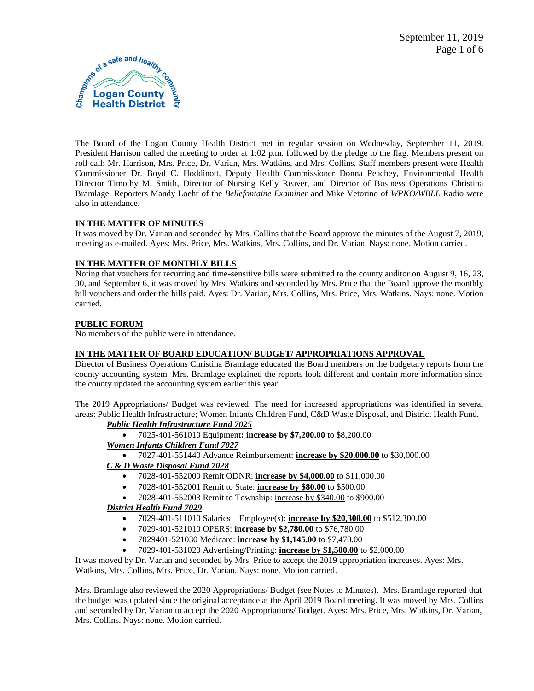

The Board of the Logan County Health District met in regular session on Wednesday, September 11, 2019. President Harrison called the meeting to order at 1:02 p.m. followed by the pledge to the flag. Members present on roll call: Mr. Harrison, Mrs. Price, Dr. Varian, Mrs. Watkins, and Mrs. Collins. Staff members present were Health Commissioner Dr. Boyd C. Hoddinott, Deputy Health Commissioner Donna Peachey, Environmental Health Director Timothy M. Smith, Director of Nursing Kelly Reaver, and Director of Business Operations Christina Bramlage. Reporters Mandy Loehr of the *Bellefontaine Examiner* and Mike Vetorino of *WPKO/WBLL* Radio were also in attendance.

# **IN THE MATTER OF MINUTES**

It was moved by Dr. Varian and seconded by Mrs. Collins that the Board approve the minutes of the August 7, 2019, meeting as e-mailed. Ayes: Mrs. Price, Mrs. Watkins, Mrs. Collins, and Dr. Varian. Nays: none. Motion carried.

# **IN THE MATTER OF MONTHLY BILLS**

Noting that vouchers for recurring and time-sensitive bills were submitted to the county auditor on August 9, 16, 23, 30, and September 6, it was moved by Mrs. Watkins and seconded by Mrs. Price that the Board approve the monthly bill vouchers and order the bills paid. Ayes: Dr. Varian, Mrs. Collins, Mrs. Price, Mrs. Watkins. Nays: none. Motion carried.

# **PUBLIC FORUM**

No members of the public were in attendance.

# **IN THE MATTER OF BOARD EDUCATION/ BUDGET/ APPROPRIATIONS APPROVAL**

Director of Business Operations Christina Bramlage educated the Board members on the budgetary reports from the county accounting system. Mrs. Bramlage explained the reports look different and contain more information since the county updated the accounting system earlier this year.

The 2019 Appropriations/ Budget was reviewed. The need for increased appropriations was identified in several areas: Public Health Infrastructure; Women Infants Children Fund, C&D Waste Disposal, and District Health Fund.

# *Public Health Infrastructure Fund 7025*

7025-401-561010 Equipment**: increase by \$7,200.00** to \$8,200.00

# *Women Infants Children Fund 7027*

7027-401-551440 Advance Reimbursement: **increase by \$20,000.00** to \$30,000.00

# *C & D Waste Disposal Fund 7028*

- 7028-401-552000 Remit ODNR: **increase by \$4,000.00** to \$11,000.00
- 7028-401-552001 Remit to State: **increase by \$80.00** to \$500.00
- 7028-401-552003 Remit to Township: increase by \$340.00 to \$900.00

# *District Health Fund 7029*

- 7029-401-511010 Salaries Employee(s): **increase by \$20,300.00** to \$512,300.00
- 7029-401-521010 OPERS: **increase by \$2,780.00** to \$76,780.00
- 7029401-521030 Medicare: **increase by \$1,145.00** to \$7,470.00
- 7029-401-531020 Advertising/Printing: **increase by \$1,500.00** to \$2,000.00

It was moved by Dr. Varian and seconded by Mrs. Price to accept the 2019 appropriation increases. Ayes: Mrs.

Watkins, Mrs. Collins, Mrs. Price, Dr. Varian. Nays: none. Motion carried.

Mrs. Bramlage also reviewed the 2020 Appropriations/ Budget (see Notes to Minutes). Mrs. Bramlage reported that the budget was updated since the original acceptance at the April 2019 Board meeting. It was moved by Mrs. Collins and seconded by Dr. Varian to accept the 2020 Appropriations/ Budget. Ayes: Mrs. Price, Mrs. Watkins, Dr. Varian, Mrs. Collins. Nays: none. Motion carried.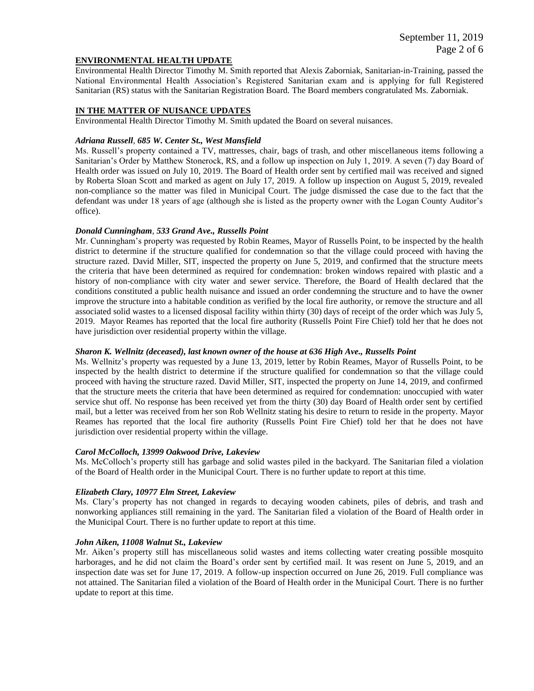### **ENVIRONMENTAL HEALTH UPDATE**

Environmental Health Director Timothy M. Smith reported that Alexis Zaborniak, Sanitarian-in-Training, passed the National Environmental Health Association's Registered Sanitarian exam and is applying for full Registered Sanitarian (RS) status with the Sanitarian Registration Board. The Board members congratulated Ms. Zaborniak.

### **IN THE MATTER OF NUISANCE UPDATES**

Environmental Health Director Timothy M. Smith updated the Board on several nuisances.

#### *Adriana Russell, 685 W. Center St., West Mansfield*

Ms. Russell's property contained a TV, mattresses, chair, bags of trash, and other miscellaneous items following a Sanitarian's Order by Matthew Stonerock, RS, and a follow up inspection on July 1, 2019. A seven (7) day Board of Health order was issued on July 10, 2019. The Board of Health order sent by certified mail was received and signed by Roberta Sloan Scott and marked as agent on July 17, 2019. A follow up inspection on August 5, 2019, revealed non-compliance so the matter was filed in Municipal Court. The judge dismissed the case due to the fact that the defendant was under 18 years of age (although she is listed as the property owner with the Logan County Auditor's office).

#### *Donald Cunningham, 533 Grand Ave., Russells Point*

Mr. Cunningham's property was requested by Robin Reames, Mayor of Russells Point, to be inspected by the health district to determine if the structure qualified for condemnation so that the village could proceed with having the structure razed. David Miller, SIT, inspected the property on June 5, 2019, and confirmed that the structure meets the criteria that have been determined as required for condemnation: broken windows repaired with plastic and a history of non-compliance with city water and sewer service. Therefore, the Board of Health declared that the conditions constituted a public health nuisance and issued an order condemning the structure and to have the owner improve the structure into a habitable condition as verified by the local fire authority, or remove the structure and all associated solid wastes to a licensed disposal facility within thirty (30) days of receipt of the order which was July 5, 2019. Mayor Reames has reported that the local fire authority (Russells Point Fire Chief) told her that he does not have jurisdiction over residential property within the village.

#### *Sharon K. Wellnitz (deceased), last known owner of the house at 636 High Ave., Russells Point*

Ms. Wellnitz's property was requested by a June 13, 2019, letter by Robin Reames, Mayor of Russells Point, to be inspected by the health district to determine if the structure qualified for condemnation so that the village could proceed with having the structure razed. David Miller, SIT, inspected the property on June 14, 2019, and confirmed that the structure meets the criteria that have been determined as required for condemnation: unoccupied with water service shut off. No response has been received yet from the thirty (30) day Board of Health order sent by certified mail, but a letter was received from her son Rob Wellnitz stating his desire to return to reside in the property. Mayor Reames has reported that the local fire authority (Russells Point Fire Chief) told her that he does not have jurisdiction over residential property within the village.

#### *Carol McColloch, 13999 Oakwood Drive, Lakeview*

Ms. McColloch's property still has garbage and solid wastes piled in the backyard. The Sanitarian filed a violation of the Board of Health order in the Municipal Court. There is no further update to report at this time.

#### *Elizabeth Clary, 10977 Elm Street, Lakeview*

Ms. Clary's property has not changed in regards to decaying wooden cabinets, piles of debris, and trash and nonworking appliances still remaining in the yard. The Sanitarian filed a violation of the Board of Health order in the Municipal Court. There is no further update to report at this time.

#### *John Aiken, 11008 Walnut St., Lakeview*

Mr. Aiken's property still has miscellaneous solid wastes and items collecting water creating possible mosquito harborages, and he did not claim the Board's order sent by certified mail. It was resent on June 5, 2019, and an inspection date was set for June 17, 2019. A follow-up inspection occurred on June 26, 2019. Full compliance was not attained. The Sanitarian filed a violation of the Board of Health order in the Municipal Court. There is no further update to report at this time.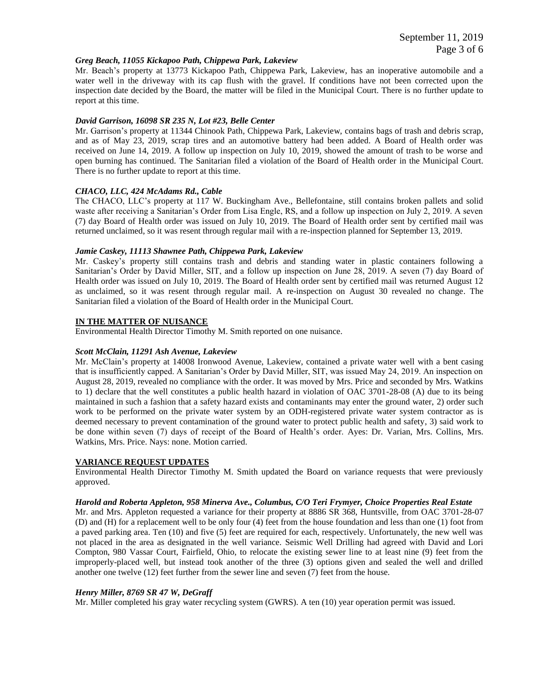### *Greg Beach, 11055 Kickapoo Path, Chippewa Park, Lakeview*

Mr. Beach's property at 13773 Kickapoo Path, Chippewa Park, Lakeview, has an inoperative automobile and a water well in the driveway with its cap flush with the gravel. If conditions have not been corrected upon the inspection date decided by the Board, the matter will be filed in the Municipal Court. There is no further update to report at this time.

### *David Garrison, 16098 SR 235 N, Lot #23, Belle Center*

Mr. Garrison's property at 11344 Chinook Path, Chippewa Park, Lakeview, contains bags of trash and debris scrap, and as of May 23, 2019, scrap tires and an automotive battery had been added. A Board of Health order was received on June 14, 2019. A follow up inspection on July 10, 2019, showed the amount of trash to be worse and open burning has continued. The Sanitarian filed a violation of the Board of Health order in the Municipal Court. There is no further update to report at this time.

# *CHACO, LLC, 424 McAdams Rd., Cable*

The CHACO, LLC's property at 117 W. Buckingham Ave., Bellefontaine, still contains broken pallets and solid waste after receiving a Sanitarian's Order from Lisa Engle, RS, and a follow up inspection on July 2, 2019. A seven (7) day Board of Health order was issued on July 10, 2019. The Board of Health order sent by certified mail was returned unclaimed, so it was resent through regular mail with a re-inspection planned for September 13, 2019.

### *Jamie Caskey, 11113 Shawnee Path, Chippewa Park, Lakeview*

Mr. Caskey's property still contains trash and debris and standing water in plastic containers following a Sanitarian's Order by David Miller, SIT, and a follow up inspection on June 28, 2019. A seven (7) day Board of Health order was issued on July 10, 2019. The Board of Health order sent by certified mail was returned August 12 as unclaimed, so it was resent through regular mail. A re-inspection on August 30 revealed no change. The Sanitarian filed a violation of the Board of Health order in the Municipal Court.

### **IN THE MATTER OF NUISANCE**

Environmental Health Director Timothy M. Smith reported on one nuisance.

#### *Scott McClain, 11291 Ash Avenue, Lakeview*

Mr. McClain's property at 14008 Ironwood Avenue, Lakeview, contained a private water well with a bent casing that is insufficiently capped. A Sanitarian's Order by David Miller, SIT, was issued May 24, 2019. An inspection on August 28, 2019, revealed no compliance with the order. It was moved by Mrs. Price and seconded by Mrs. Watkins to 1) declare that the well constitutes a public health hazard in violation of OAC 3701-28-08 (A) due to its being maintained in such a fashion that a safety hazard exists and contaminants may enter the ground water, 2) order such work to be performed on the private water system by an ODH-registered private water system contractor as is deemed necessary to prevent contamination of the ground water to protect public health and safety, 3) said work to be done within seven (7) days of receipt of the Board of Health's order. Ayes: Dr. Varian, Mrs. Collins, Mrs. Watkins, Mrs. Price. Nays: none. Motion carried.

#### **VARIANCE REQUEST UPDATES**

Environmental Health Director Timothy M. Smith updated the Board on variance requests that were previously approved.

#### *Harold and Roberta Appleton, 958 Minerva Ave., Columbus, C/O Teri Frymyer, Choice Properties Real Estate*

Mr. and Mrs. Appleton requested a variance for their property at 8886 SR 368, Huntsville, from OAC 3701-28-07 (D) and (H) for a replacement well to be only four (4) feet from the house foundation and less than one (1) foot from a paved parking area. Ten (10) and five (5) feet are required for each, respectively. Unfortunately, the new well was not placed in the area as designated in the well variance. Seismic Well Drilling had agreed with David and Lori Compton, 980 Vassar Court, Fairfield, Ohio, to relocate the existing sewer line to at least nine (9) feet from the improperly-placed well, but instead took another of the three (3) options given and sealed the well and drilled another one twelve (12) feet further from the sewer line and seven (7) feet from the house.

#### *Henry Miller, 8769 SR 47 W, DeGraff*

Mr. Miller completed his gray water recycling system (GWRS). A ten (10) year operation permit was issued.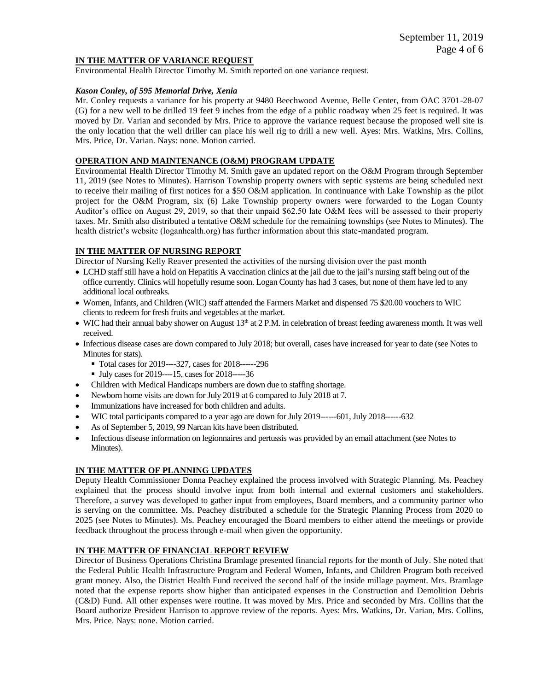### **IN THE MATTER OF VARIANCE REQUEST**

Environmental Health Director Timothy M. Smith reported on one variance request.

### *Kason Conley, of 595 Memorial Drive, Xenia*

Mr. Conley requests a variance for his property at 9480 Beechwood Avenue, Belle Center, from OAC 3701-28-07 (G) for a new well to be drilled 19 feet 9 inches from the edge of a public roadway when 25 feet is required. It was moved by Dr. Varian and seconded by Mrs. Price to approve the variance request because the proposed well site is the only location that the well driller can place his well rig to drill a new well. Ayes: Mrs. Watkins, Mrs. Collins, Mrs. Price, Dr. Varian. Nays: none. Motion carried.

### **OPERATION AND MAINTENANCE (O&M) PROGRAM UPDATE**

Environmental Health Director Timothy M. Smith gave an updated report on the O&M Program through September 11, 2019 (see Notes to Minutes). Harrison Township property owners with septic systems are being scheduled next to receive their mailing of first notices for a \$50 O&M application. In continuance with Lake Township as the pilot project for the O&M Program, six (6) Lake Township property owners were forwarded to the Logan County Auditor's office on August 29, 2019, so that their unpaid \$62.50 late O&M fees will be assessed to their property taxes. Mr. Smith also distributed a tentative O&M schedule for the remaining townships (see Notes to Minutes). The health district's website (loganhealth.org) has further information about this state-mandated program.

# **IN THE MATTER OF NURSING REPORT**

Director of Nursing Kelly Reaver presented the activities of the nursing division over the past month

- LCHD staff still have a hold on Hepatitis A vaccination clinics at the jail due to the jail's nursing staff being out of the office currently. Clinics will hopefully resume soon. Logan County has had 3 cases, but none of them have led to any additional local outbreaks.
- Women, Infants, and Children (WIC) staff attended the Farmers Market and dispensed 75 \$20.00 vouchers to WIC clients to redeem for fresh fruits and vegetables at the market.
- $\bullet$  WIC had their annual baby shower on August  $13<sup>th</sup>$  at 2 P.M. in celebration of breast feeding awareness month. It was well received.
- Infectious disease cases are down compared to July 2018; but overall, cases have increased for year to date (see Notes to Minutes for stats).
	- Total cases for 2019----327, cases for 2018------296
	- July cases for 2019----15, cases for 2018-----36
- Children with Medical Handicaps numbers are down due to staffing shortage.
- Newborn home visits are down for July 2019 at 6 compared to July 2018 at 7.
- Immunizations have increased for both children and adults.
- WIC total participants compared to a year ago are down for July 2019------601, July 2018------632
- As of September 5, 2019, 99 Narcan kits have been distributed.
- Infectious disease information on legionnaires and pertussis was provided by an email attachment (see Notes to Minutes).

# **IN THE MATTER OF PLANNING UPDATES**

Deputy Health Commissioner Donna Peachey explained the process involved with Strategic Planning. Ms. Peachey explained that the process should involve input from both internal and external customers and stakeholders. Therefore, a survey was developed to gather input from employees, Board members, and a community partner who is serving on the committee. Ms. Peachey distributed a schedule for the Strategic Planning Process from 2020 to 2025 (see Notes to Minutes). Ms. Peachey encouraged the Board members to either attend the meetings or provide feedback throughout the process through e-mail when given the opportunity.

### **IN THE MATTER OF FINANCIAL REPORT REVIEW**

Director of Business Operations Christina Bramlage presented financial reports for the month of July. She noted that the Federal Public Health Infrastructure Program and Federal Women, Infants, and Children Program both received grant money. Also, the District Health Fund received the second half of the inside millage payment. Mrs. Bramlage noted that the expense reports show higher than anticipated expenses in the Construction and Demolition Debris (C&D) Fund. All other expenses were routine. It was moved by Mrs. Price and seconded by Mrs. Collins that the Board authorize President Harrison to approve review of the reports. Ayes: Mrs. Watkins, Dr. Varian, Mrs. Collins, Mrs. Price. Nays: none. Motion carried.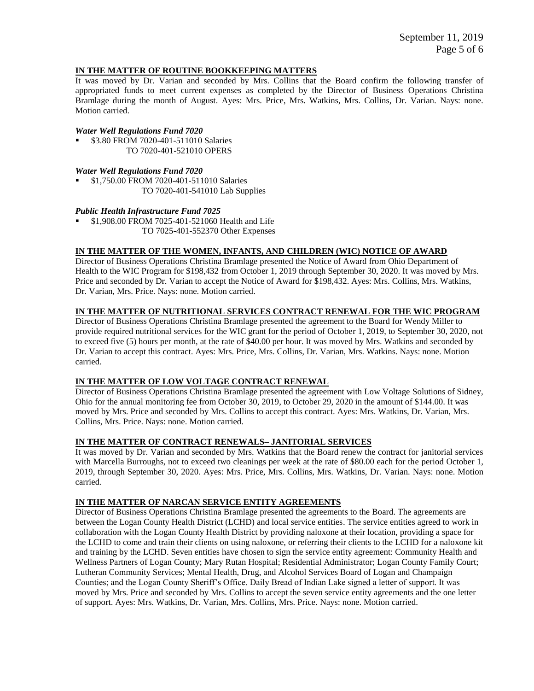### **IN THE MATTER OF ROUTINE BOOKKEEPING MATTERS**

It was moved by Dr. Varian and seconded by Mrs. Collins that the Board confirm the following transfer of appropriated funds to meet current expenses as completed by the Director of Business Operations Christina Bramlage during the month of August. Ayes: Mrs. Price, Mrs. Watkins, Mrs. Collins, Dr. Varian. Nays: none. Motion carried.

### *Water Well Regulations Fund 7020*

 \$3.80 FROM 7020-401-511010 Salaries TO 7020-401-521010 OPERS

### *Water Well Regulations Fund 7020*

 \$1,750.00 FROM 7020-401-511010 Salaries TO 7020-401-541010 Lab Supplies

### *Public Health Infrastructure Fund 7025*

 \$1,908.00 FROM 7025-401-521060 Health and Life TO 7025-401-552370 Other Expenses

# **IN THE MATTER OF THE WOMEN, INFANTS, AND CHILDREN (WIC) NOTICE OF AWARD**

Director of Business Operations Christina Bramlage presented the Notice of Award from Ohio Department of Health to the WIC Program for \$198,432 from October 1, 2019 through September 30, 2020. It was moved by Mrs. Price and seconded by Dr. Varian to accept the Notice of Award for \$198,432. Ayes: Mrs. Collins, Mrs. Watkins, Dr. Varian, Mrs. Price. Nays: none. Motion carried.

# **IN THE MATTER OF NUTRITIONAL SERVICES CONTRACT RENEWAL FOR THE WIC PROGRAM**

Director of Business Operations Christina Bramlage presented the agreement to the Board for Wendy Miller to provide required nutritional services for the WIC grant for the period of October 1, 2019, to September 30, 2020, not to exceed five (5) hours per month, at the rate of \$40.00 per hour. It was moved by Mrs. Watkins and seconded by Dr. Varian to accept this contract. Ayes: Mrs. Price, Mrs. Collins, Dr. Varian, Mrs. Watkins. Nays: none. Motion carried.

#### **IN THE MATTER OF LOW VOLTAGE CONTRACT RENEWAL**

Director of Business Operations Christina Bramlage presented the agreement with Low Voltage Solutions of Sidney, Ohio for the annual monitoring fee from October 30, 2019, to October 29, 2020 in the amount of \$144.00. It was moved by Mrs. Price and seconded by Mrs. Collins to accept this contract. Ayes: Mrs. Watkins, Dr. Varian, Mrs. Collins, Mrs. Price. Nays: none. Motion carried.

### **IN THE MATTER OF CONTRACT RENEWALS– JANITORIAL SERVICES**

It was moved by Dr. Varian and seconded by Mrs. Watkins that the Board renew the contract for janitorial services with Marcella Burroughs, not to exceed two cleanings per week at the rate of \$80.00 each for the period October 1, 2019, through September 30, 2020. Ayes: Mrs. Price, Mrs. Collins, Mrs. Watkins, Dr. Varian. Nays: none. Motion carried.

#### **IN THE MATTER OF NARCAN SERVICE ENTITY AGREEMENTS**

Director of Business Operations Christina Bramlage presented the agreements to the Board. The agreements are between the Logan County Health District (LCHD) and local service entities. The service entities agreed to work in collaboration with the Logan County Health District by providing naloxone at their location, providing a space for the LCHD to come and train their clients on using naloxone, or referring their clients to the LCHD for a naloxone kit and training by the LCHD. Seven entities have chosen to sign the service entity agreement: Community Health and Wellness Partners of Logan County; Mary Rutan Hospital; Residential Administrator; Logan County Family Court; Lutheran Community Services; Mental Health, Drug, and Alcohol Services Board of Logan and Champaign Counties; and the Logan County Sheriff's Office. Daily Bread of Indian Lake signed a letter of support. It was moved by Mrs. Price and seconded by Mrs. Collins to accept the seven service entity agreements and the one letter of support. Ayes: Mrs. Watkins, Dr. Varian, Mrs. Collins, Mrs. Price. Nays: none. Motion carried.